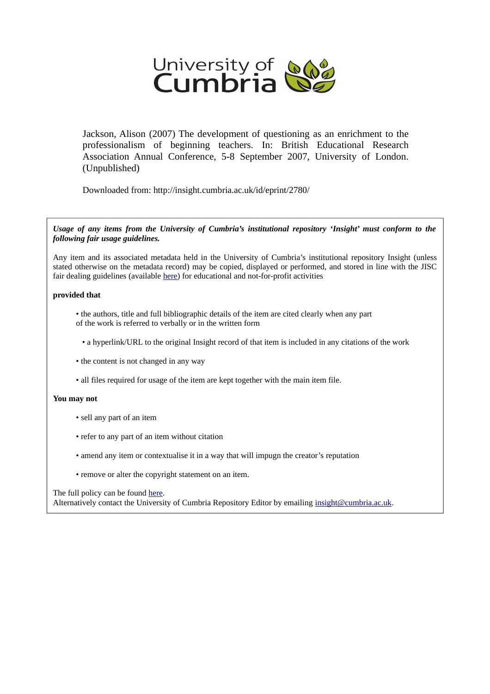

Jackson, Alison (2007) The development of questioning as an enrichment to the professionalism of beginning teachers. In: British Educational Research Association Annual Conference, 5-8 September 2007, University of London. (Unpublished)

Downloaded from: http://insight.cumbria.ac.uk/id/eprint/2780/

*Usage of any items from the University of Cumbria's institutional repository 'Insight' must conform to the following fair usage guidelines.*

Any item and its associated metadata held in the University of Cumbria's institutional repository Insight (unless stated otherwise on the metadata record) may be copied, displayed or performed, and stored in line with the JISC fair dealing guidelines (available [here\)](http://www.ukoln.ac.uk/services/elib/papers/pa/fair/) for educational and not-for-profit activities

## **provided that**

• the authors, title and full bibliographic details of the item are cited clearly when any part of the work is referred to verbally or in the written form

• a hyperlink/URL to the original Insight record of that item is included in any citations of the work

- the content is not changed in any way
- all files required for usage of the item are kept together with the main item file.

### **You may not**

- sell any part of an item
- refer to any part of an item without citation
- amend any item or contextualise it in a way that will impugn the creator's reputation
- remove or alter the copyright statement on an item.

### The full policy can be found [here.](http://insight.cumbria.ac.uk/legal.html#section5)

Alternatively contact the University of Cumbria Repository Editor by emailing [insight@cumbria.ac.uk.](mailto:insight@cumbria.ac.uk)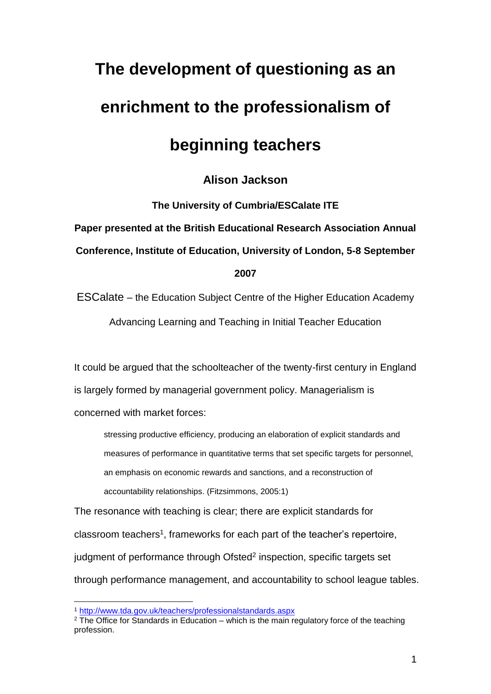# **The development of questioning as an enrichment to the professionalism of**

# **beginning teachers**

# **Alison Jackson**

**The University of Cumbria/ESCalate ITE Paper presented at the British Educational Research Association Annual Conference, Institute of Education, University of London, 5-8 September 2007**

ESCalate – the Education Subject Centre of the Higher Education Academy Advancing Learning and Teaching in Initial Teacher Education

It could be argued that the schoolteacher of the twenty-first century in England is largely formed by managerial government policy. Managerialism is concerned with market forces:

stressing productive efficiency, producing an elaboration of explicit standards and measures of performance in quantitative terms that set specific targets for personnel, an emphasis on economic rewards and sanctions, and a reconstruction of accountability relationships. (Fitzsimmons, 2005:1)

The resonance with teaching is clear; there are explicit standards for classroom teachers<sup>1</sup>, frameworks for each part of the teacher's repertoire, judgment of performance through Ofsted<sup>2</sup> inspection, specific targets set through performance management, and accountability to school league tables.

<sup>1</sup> <http://www.tda.gov.uk/teachers/professionalstandards.aspx>

 $2$  The Office for Standards in Education – which is the main regulatory force of the teaching profession.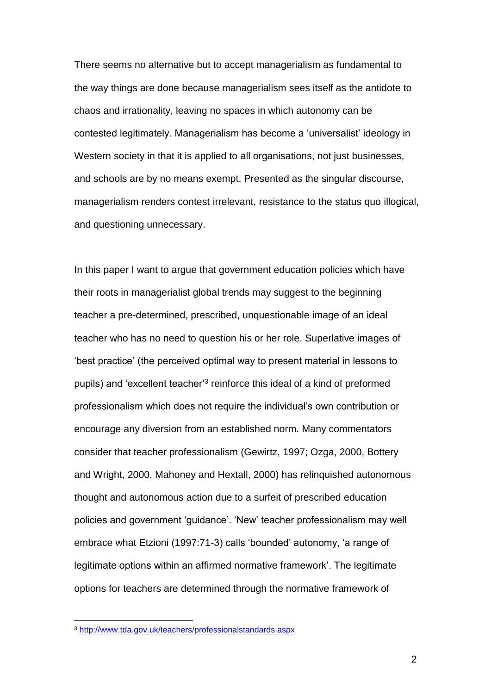There seems no alternative but to accept managerialism as fundamental to the way things are done because managerialism sees itself as the antidote to chaos and irrationality, leaving no spaces in which autonomy can be contested legitimately. Managerialism has become a 'universalist' ideology in Western society in that it is applied to all organisations, not just businesses, and schools are by no means exempt. Presented as the singular discourse, managerialism renders contest irrelevant, resistance to the status quo illogical, and questioning unnecessary.

In this paper I want to argue that government education policies which have their roots in managerialist global trends may suggest to the beginning teacher a pre-determined, prescribed, unquestionable image of an ideal teacher who has no need to question his or her role. Superlative images of 'best practice' (the perceived optimal way to present material in lessons to pupils) and 'excellent teacher<sup>3</sup> reinforce this ideal of a kind of preformed professionalism which does not require the individual's own contribution or encourage any diversion from an established norm. Many commentators consider that teacher professionalism (Gewirtz, 1997; Ozga, 2000, Bottery and Wright, 2000, Mahoney and Hextall, 2000) has relinquished autonomous thought and autonomous action due to a surfeit of prescribed education policies and government 'guidance'. 'New' teacher professionalism may well embrace what Etzioni (1997:71-3) calls 'bounded' autonomy, 'a range of legitimate options within an affirmed normative framework'. The legitimate options for teachers are determined through the normative framework of

<sup>3</sup> <http://www.tda.gov.uk/teachers/professionalstandards.aspx>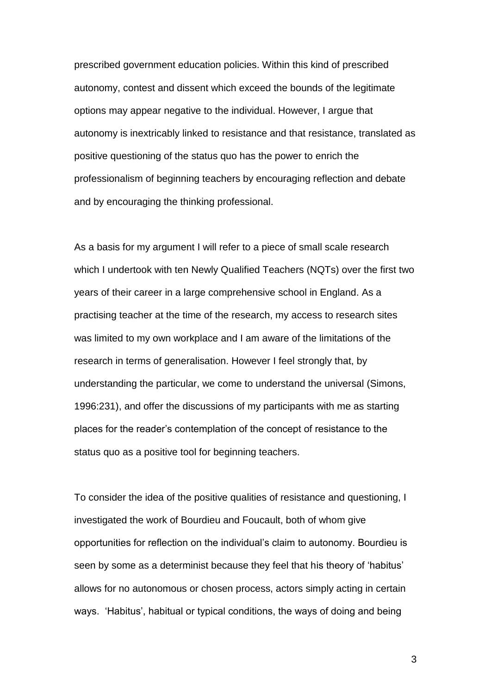prescribed government education policies. Within this kind of prescribed autonomy, contest and dissent which exceed the bounds of the legitimate options may appear negative to the individual. However, I argue that autonomy is inextricably linked to resistance and that resistance, translated as positive questioning of the status quo has the power to enrich the professionalism of beginning teachers by encouraging reflection and debate and by encouraging the thinking professional.

As a basis for my argument I will refer to a piece of small scale research which I undertook with ten Newly Qualified Teachers (NQTs) over the first two years of their career in a large comprehensive school in England. As a practising teacher at the time of the research, my access to research sites was limited to my own workplace and I am aware of the limitations of the research in terms of generalisation. However I feel strongly that, by understanding the particular, we come to understand the universal (Simons, 1996:231), and offer the discussions of my participants with me as starting places for the reader's contemplation of the concept of resistance to the status quo as a positive tool for beginning teachers.

To consider the idea of the positive qualities of resistance and questioning, I investigated the work of Bourdieu and Foucault, both of whom give opportunities for reflection on the individual's claim to autonomy. Bourdieu is seen by some as a determinist because they feel that his theory of 'habitus' allows for no autonomous or chosen process, actors simply acting in certain ways. 'Habitus', habitual or typical conditions, the ways of doing and being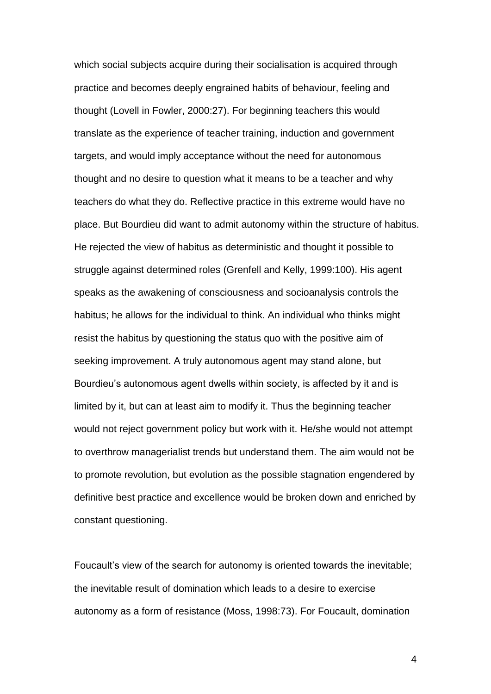which social subjects acquire during their socialisation is acquired through practice and becomes deeply engrained habits of behaviour, feeling and thought (Lovell in Fowler, 2000:27). For beginning teachers this would translate as the experience of teacher training, induction and government targets, and would imply acceptance without the need for autonomous thought and no desire to question what it means to be a teacher and why teachers do what they do. Reflective practice in this extreme would have no place. But Bourdieu did want to admit autonomy within the structure of habitus. He rejected the view of habitus as deterministic and thought it possible to struggle against determined roles (Grenfell and Kelly, 1999:100). His agent speaks as the awakening of consciousness and socioanalysis controls the habitus; he allows for the individual to think. An individual who thinks might resist the habitus by questioning the status quo with the positive aim of seeking improvement. A truly autonomous agent may stand alone, but Bourdieu's autonomous agent dwells within society, is affected by it and is limited by it, but can at least aim to modify it. Thus the beginning teacher would not reject government policy but work with it. He/she would not attempt to overthrow managerialist trends but understand them. The aim would not be to promote revolution, but evolution as the possible stagnation engendered by definitive best practice and excellence would be broken down and enriched by constant questioning.

Foucault's view of the search for autonomy is oriented towards the inevitable; the inevitable result of domination which leads to a desire to exercise autonomy as a form of resistance (Moss, 1998:73). For Foucault, domination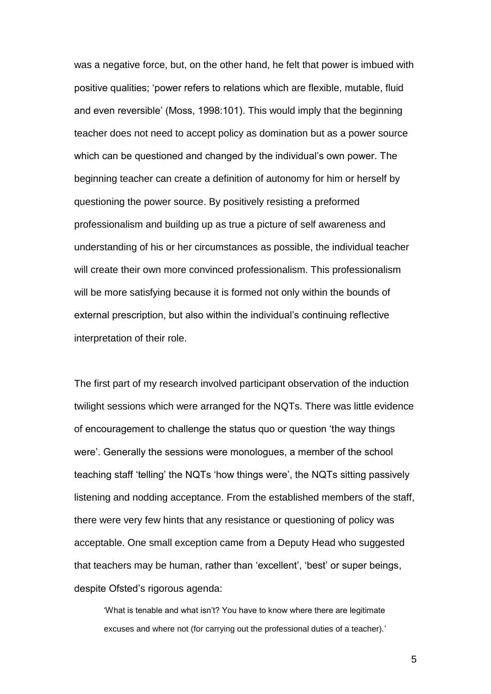was a negative force, but, on the other hand, he felt that power is imbued with positive qualities; 'power refers to relations which are flexible, mutable, fluid and even reversible' (Moss, 1998:101). This would imply that the beginning teacher does not need to accept policy as domination but as a power source which can be questioned and changed by the individual's own power. The beginning teacher can create a definition of autonomy for him or herself by questioning the power source. By positively resisting a preformed professionalism and building up as true a picture of self awareness and understanding of his or her circumstances as possible, the individual teacher will create their own more convinced professionalism. This professionalism will be more satisfying because it is formed not only within the bounds of external prescription, but also within the individual's continuing reflective interpretation of their role.

The first part of my research involved participant observation of the induction twilight sessions which were arranged for the NQTs. There was little evidence of encouragement to challenge the status quo or question 'the way things were'. Generally the sessions were monologues, a member of the school teaching staff 'telling' the NQTs 'how things were', the NQTs sitting passively listening and nodding acceptance. From the established members of the staff, there were very few hints that any resistance or questioning of policy was acceptable. One small exception came from a Deputy Head who suggested that teachers may be human, rather than 'excellent', 'best' or super beings, despite Ofsted's rigorous agenda:

'What is tenable and what isn't? You have to know where there are legitimate excuses and where not (for carrying out the professional duties of a teacher).'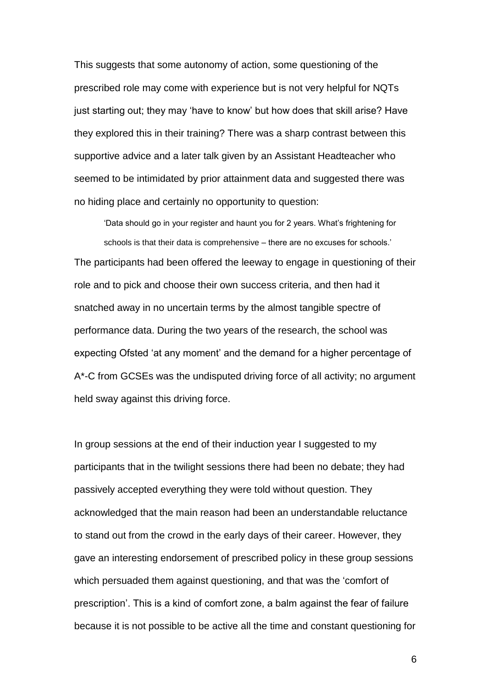This suggests that some autonomy of action, some questioning of the prescribed role may come with experience but is not very helpful for NQTs just starting out; they may 'have to know' but how does that skill arise? Have they explored this in their training? There was a sharp contrast between this supportive advice and a later talk given by an Assistant Headteacher who seemed to be intimidated by prior attainment data and suggested there was no hiding place and certainly no opportunity to question:

'Data should go in your register and haunt you for 2 years. What's frightening for schools is that their data is comprehensive – there are no excuses for schools.' The participants had been offered the leeway to engage in questioning of their role and to pick and choose their own success criteria, and then had it snatched away in no uncertain terms by the almost tangible spectre of performance data. During the two years of the research, the school was expecting Ofsted 'at any moment' and the demand for a higher percentage of A\*-C from GCSEs was the undisputed driving force of all activity; no argument held sway against this driving force.

In group sessions at the end of their induction year I suggested to my participants that in the twilight sessions there had been no debate; they had passively accepted everything they were told without question. They acknowledged that the main reason had been an understandable reluctance to stand out from the crowd in the early days of their career. However, they gave an interesting endorsement of prescribed policy in these group sessions which persuaded them against questioning, and that was the 'comfort of prescription'. This is a kind of comfort zone, a balm against the fear of failure because it is not possible to be active all the time and constant questioning for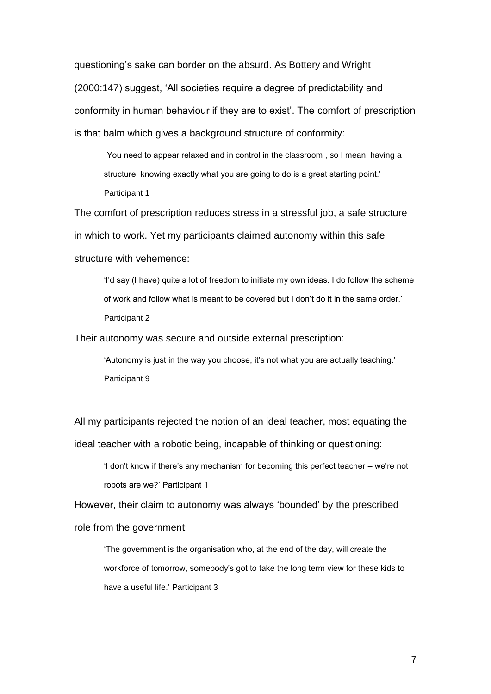questioning's sake can border on the absurd. As Bottery and Wright (2000:147) suggest, 'All societies require a degree of predictability and conformity in human behaviour if they are to exist'. The comfort of prescription is that balm which gives a background structure of conformity:

'You need to appear relaxed and in control in the classroom , so I mean, having a structure, knowing exactly what you are going to do is a great starting point.' Participant 1

The comfort of prescription reduces stress in a stressful job, a safe structure in which to work. Yet my participants claimed autonomy within this safe structure with vehemence:

'I'd say (I have) quite a lot of freedom to initiate my own ideas. I do follow the scheme of work and follow what is meant to be covered but I don't do it in the same order.' Participant 2

Their autonomy was secure and outside external prescription:

'Autonomy is just in the way you choose, it's not what you are actually teaching.' Participant 9

All my participants rejected the notion of an ideal teacher, most equating the ideal teacher with a robotic being, incapable of thinking or questioning:

'I don't know if there's any mechanism for becoming this perfect teacher – we're not robots are we?' Participant 1

However, their claim to autonomy was always 'bounded' by the prescribed role from the government:

'The government is the organisation who, at the end of the day, will create the workforce of tomorrow, somebody's got to take the long term view for these kids to have a useful life.' Participant 3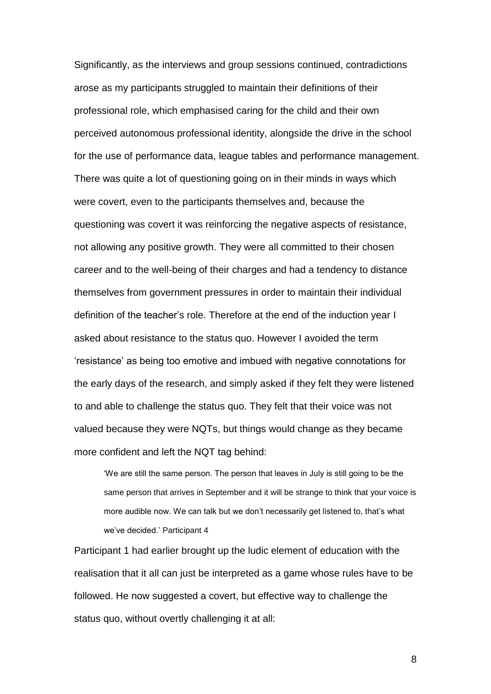Significantly, as the interviews and group sessions continued, contradictions arose as my participants struggled to maintain their definitions of their professional role, which emphasised caring for the child and their own perceived autonomous professional identity, alongside the drive in the school for the use of performance data, league tables and performance management. There was quite a lot of questioning going on in their minds in ways which were covert, even to the participants themselves and, because the questioning was covert it was reinforcing the negative aspects of resistance, not allowing any positive growth. They were all committed to their chosen career and to the well-being of their charges and had a tendency to distance themselves from government pressures in order to maintain their individual definition of the teacher's role. Therefore at the end of the induction year I asked about resistance to the status quo. However I avoided the term 'resistance' as being too emotive and imbued with negative connotations for the early days of the research, and simply asked if they felt they were listened to and able to challenge the status quo. They felt that their voice was not valued because they were NQTs, but things would change as they became more confident and left the NQT tag behind:

'We are still the same person. The person that leaves in July is still going to be the same person that arrives in September and it will be strange to think that your voice is more audible now. We can talk but we don't necessarily get listened to, that's what we've decided.' Participant 4

Participant 1 had earlier brought up the ludic element of education with the realisation that it all can just be interpreted as a game whose rules have to be followed. He now suggested a covert, but effective way to challenge the status quo, without overtly challenging it at all: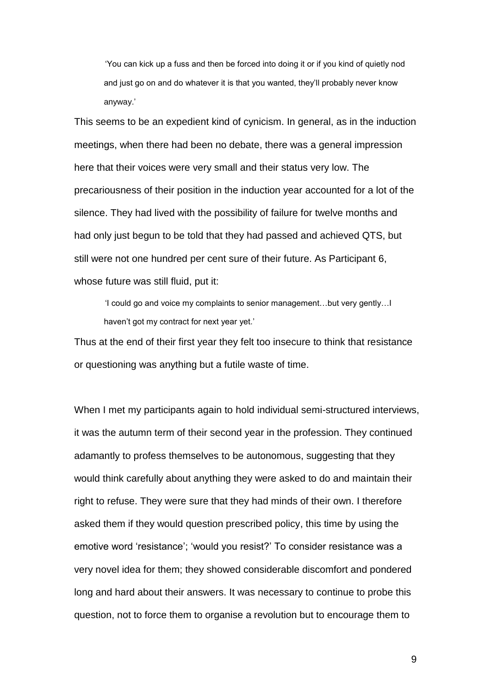'You can kick up a fuss and then be forced into doing it or if you kind of quietly nod and just go on and do whatever it is that you wanted, they'll probably never know anyway.'

This seems to be an expedient kind of cynicism. In general, as in the induction meetings, when there had been no debate, there was a general impression here that their voices were very small and their status very low. The precariousness of their position in the induction year accounted for a lot of the silence. They had lived with the possibility of failure for twelve months and had only just begun to be told that they had passed and achieved QTS, but still were not one hundred per cent sure of their future. As Participant 6, whose future was still fluid, put it:

'I could go and voice my complaints to senior management…but very gently…I haven't got my contract for next year yet.'

Thus at the end of their first year they felt too insecure to think that resistance or questioning was anything but a futile waste of time.

When I met my participants again to hold individual semi-structured interviews, it was the autumn term of their second year in the profession. They continued adamantly to profess themselves to be autonomous, suggesting that they would think carefully about anything they were asked to do and maintain their right to refuse. They were sure that they had minds of their own. I therefore asked them if they would question prescribed policy, this time by using the emotive word 'resistance'; 'would you resist?' To consider resistance was a very novel idea for them; they showed considerable discomfort and pondered long and hard about their answers. It was necessary to continue to probe this question, not to force them to organise a revolution but to encourage them to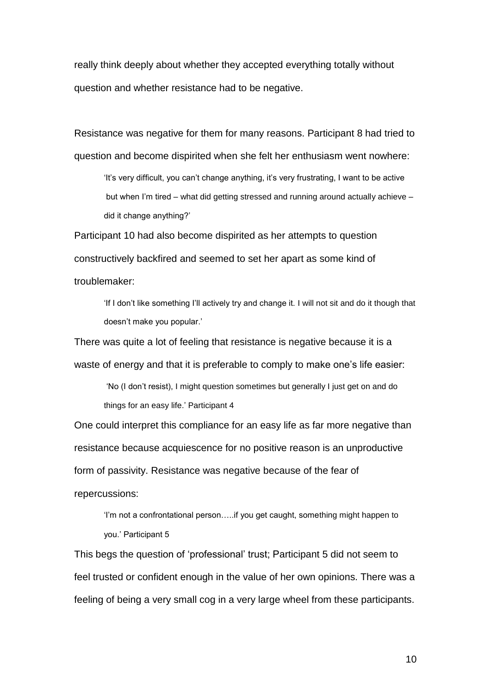really think deeply about whether they accepted everything totally without question and whether resistance had to be negative.

Resistance was negative for them for many reasons. Participant 8 had tried to question and become dispirited when she felt her enthusiasm went nowhere:

'It's very difficult, you can't change anything, it's very frustrating, I want to be active but when I'm tired – what did getting stressed and running around actually achieve – did it change anything?'

Participant 10 had also become dispirited as her attempts to question constructively backfired and seemed to set her apart as some kind of troublemaker:

'If I don't like something I'll actively try and change it. I will not sit and do it though that doesn't make you popular.'

There was quite a lot of feeling that resistance is negative because it is a waste of energy and that it is preferable to comply to make one's life easier:

'No (I don't resist), I might question sometimes but generally I just get on and do things for an easy life.' Participant 4

One could interpret this compliance for an easy life as far more negative than resistance because acquiescence for no positive reason is an unproductive form of passivity. Resistance was negative because of the fear of repercussions:

'I'm not a confrontational person…..if you get caught, something might happen to you.' Participant 5

This begs the question of 'professional' trust; Participant 5 did not seem to feel trusted or confident enough in the value of her own opinions. There was a feeling of being a very small cog in a very large wheel from these participants.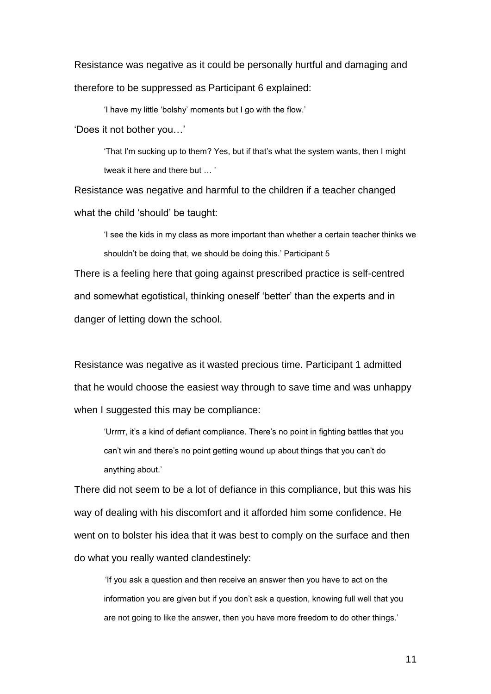Resistance was negative as it could be personally hurtful and damaging and therefore to be suppressed as Participant 6 explained:

'I have my little 'bolshy' moments but I go with the flow.'

'Does it not bother you…'

'That I'm sucking up to them? Yes, but if that's what the system wants, then I might tweak it here and there but … '

Resistance was negative and harmful to the children if a teacher changed what the child 'should' be taught:

'I see the kids in my class as more important than whether a certain teacher thinks we shouldn't be doing that, we should be doing this.' Participant 5

There is a feeling here that going against prescribed practice is self-centred and somewhat egotistical, thinking oneself 'better' than the experts and in danger of letting down the school.

Resistance was negative as it wasted precious time. Participant 1 admitted that he would choose the easiest way through to save time and was unhappy when I suggested this may be compliance:

'Urrrrr, it's a kind of defiant compliance. There's no point in fighting battles that you can't win and there's no point getting wound up about things that you can't do anything about.'

There did not seem to be a lot of defiance in this compliance, but this was his way of dealing with his discomfort and it afforded him some confidence. He went on to bolster his idea that it was best to comply on the surface and then do what you really wanted clandestinely:

'If you ask a question and then receive an answer then you have to act on the information you are given but if you don't ask a question, knowing full well that you are not going to like the answer, then you have more freedom to do other things.'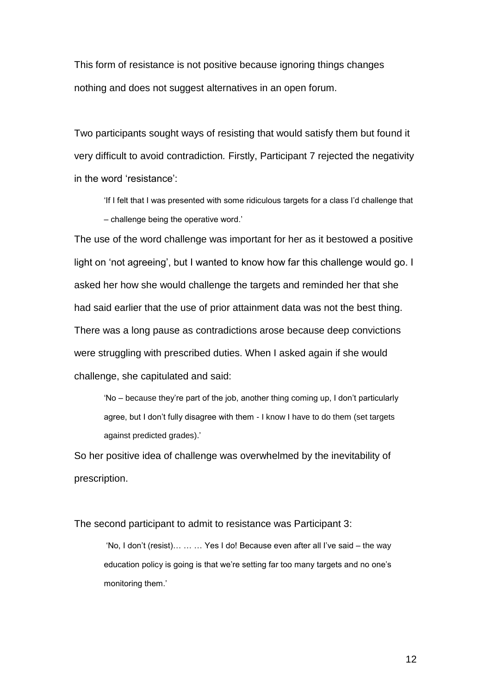This form of resistance is not positive because ignoring things changes nothing and does not suggest alternatives in an open forum.

Two participants sought ways of resisting that would satisfy them but found it very difficult to avoid contradiction*.* Firstly, Participant 7 rejected the negativity in the word 'resistance':

'If I felt that I was presented with some ridiculous targets for a class I'd challenge that – challenge being the operative word.'

The use of the word challenge was important for her as it bestowed a positive light on 'not agreeing', but I wanted to know how far this challenge would go. I asked her how she would challenge the targets and reminded her that she had said earlier that the use of prior attainment data was not the best thing. There was a long pause as contradictions arose because deep convictions were struggling with prescribed duties. When I asked again if she would challenge, she capitulated and said:

'No – because they're part of the job, another thing coming up, I don't particularly agree, but I don't fully disagree with them - I know I have to do them (set targets against predicted grades).'

So her positive idea of challenge was overwhelmed by the inevitability of prescription.

The second participant to admit to resistance was Participant 3:

'No, I don't (resist)… … … Yes I do! Because even after all I've said – the way education policy is going is that we're setting far too many targets and no one's monitoring them.'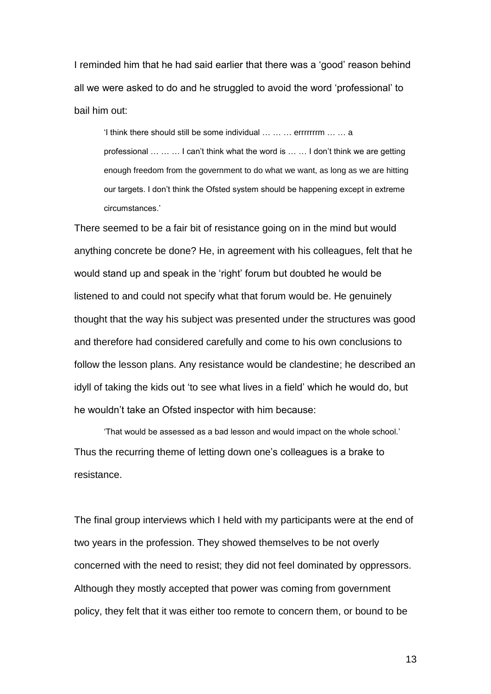I reminded him that he had said earlier that there was a 'good' reason behind all we were asked to do and he struggled to avoid the word 'professional' to bail him out:

'I think there should still be some individual … … … errrrrrrm … … a professional … … … I can't think what the word is … … I don't think we are getting enough freedom from the government to do what we want, as long as we are hitting our targets. I don't think the Ofsted system should be happening except in extreme circumstances.'

There seemed to be a fair bit of resistance going on in the mind but would anything concrete be done? He, in agreement with his colleagues, felt that he would stand up and speak in the 'right' forum but doubted he would be listened to and could not specify what that forum would be. He genuinely thought that the way his subject was presented under the structures was good and therefore had considered carefully and come to his own conclusions to follow the lesson plans. Any resistance would be clandestine; he described an idyll of taking the kids out 'to see what lives in a field' which he would do, but he wouldn't take an Ofsted inspector with him because:

'That would be assessed as a bad lesson and would impact on the whole school.' Thus the recurring theme of letting down one's colleagues is a brake to resistance.

The final group interviews which I held with my participants were at the end of two years in the profession. They showed themselves to be not overly concerned with the need to resist; they did not feel dominated by oppressors. Although they mostly accepted that power was coming from government policy, they felt that it was either too remote to concern them, or bound to be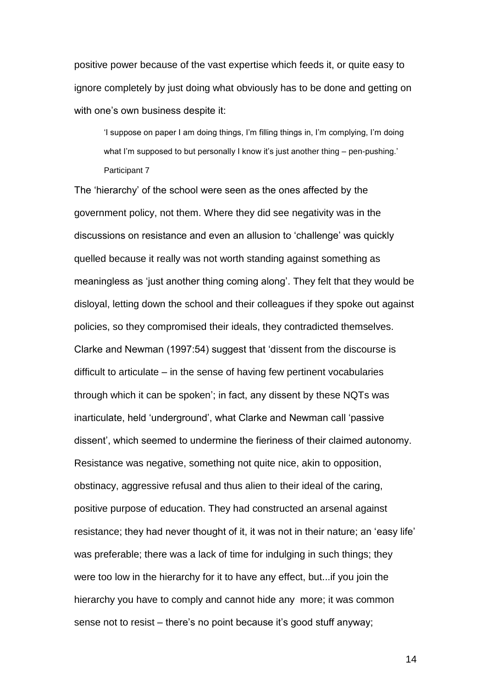positive power because of the vast expertise which feeds it, or quite easy to ignore completely by just doing what obviously has to be done and getting on with one's own business despite it:

'I suppose on paper I am doing things, I'm filling things in, I'm complying, I'm doing what I'm supposed to but personally I know it's just another thing - pen-pushing.' Participant 7

The 'hierarchy' of the school were seen as the ones affected by the government policy, not them. Where they did see negativity was in the discussions on resistance and even an allusion to 'challenge' was quickly quelled because it really was not worth standing against something as meaningless as 'just another thing coming along'. They felt that they would be disloyal, letting down the school and their colleagues if they spoke out against policies, so they compromised their ideals, they contradicted themselves. Clarke and Newman (1997:54) suggest that 'dissent from the discourse is difficult to articulate – in the sense of having few pertinent vocabularies through which it can be spoken'; in fact, any dissent by these NQTs was inarticulate, held 'underground', what Clarke and Newman call 'passive dissent', which seemed to undermine the fieriness of their claimed autonomy. Resistance was negative, something not quite nice, akin to opposition, obstinacy, aggressive refusal and thus alien to their ideal of the caring, positive purpose of education. They had constructed an arsenal against resistance; they had never thought of it, it was not in their nature; an 'easy life' was preferable; there was a lack of time for indulging in such things; they were too low in the hierarchy for it to have any effect, but...if you join the hierarchy you have to comply and cannot hide any more; it was common sense not to resist – there's no point because it's good stuff anyway;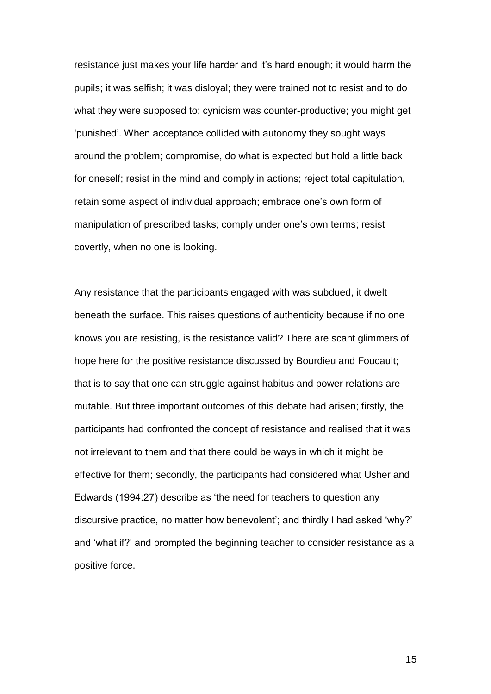resistance just makes your life harder and it's hard enough; it would harm the pupils; it was selfish; it was disloyal; they were trained not to resist and to do what they were supposed to; cynicism was counter-productive; you might get 'punished'. When acceptance collided with autonomy they sought ways around the problem; compromise, do what is expected but hold a little back for oneself; resist in the mind and comply in actions; reject total capitulation, retain some aspect of individual approach; embrace one's own form of manipulation of prescribed tasks; comply under one's own terms; resist covertly, when no one is looking.

Any resistance that the participants engaged with was subdued, it dwelt beneath the surface. This raises questions of authenticity because if no one knows you are resisting, is the resistance valid? There are scant glimmers of hope here for the positive resistance discussed by Bourdieu and Foucault; that is to say that one can struggle against habitus and power relations are mutable. But three important outcomes of this debate had arisen; firstly, the participants had confronted the concept of resistance and realised that it was not irrelevant to them and that there could be ways in which it might be effective for them; secondly, the participants had considered what Usher and Edwards (1994:27) describe as 'the need for teachers to question any discursive practice, no matter how benevolent'; and thirdly I had asked 'why?' and 'what if?' and prompted the beginning teacher to consider resistance as a positive force.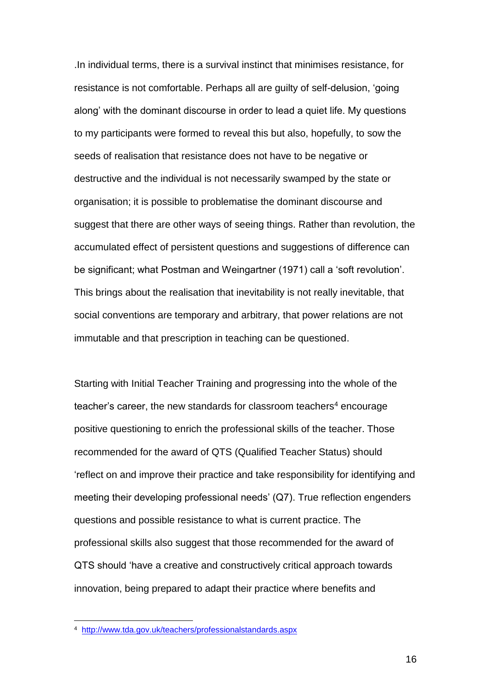.In individual terms, there is a survival instinct that minimises resistance, for resistance is not comfortable. Perhaps all are guilty of self-delusion, 'going along' with the dominant discourse in order to lead a quiet life. My questions to my participants were formed to reveal this but also, hopefully, to sow the seeds of realisation that resistance does not have to be negative or destructive and the individual is not necessarily swamped by the state or organisation; it is possible to problematise the dominant discourse and suggest that there are other ways of seeing things. Rather than revolution, the accumulated effect of persistent questions and suggestions of difference can be significant; what Postman and Weingartner (1971) call a 'soft revolution'. This brings about the realisation that inevitability is not really inevitable, that social conventions are temporary and arbitrary, that power relations are not immutable and that prescription in teaching can be questioned.

Starting with Initial Teacher Training and progressing into the whole of the teacher's career, the new standards for classroom teachers<sup>4</sup> encourage positive questioning to enrich the professional skills of the teacher. Those recommended for the award of QTS (Qualified Teacher Status) should 'reflect on and improve their practice and take responsibility for identifying and meeting their developing professional needs' (Q7). True reflection engenders questions and possible resistance to what is current practice. The professional skills also suggest that those recommended for the award of QTS should 'have a creative and constructively critical approach towards innovation, being prepared to adapt their practice where benefits and

 4 <http://www.tda.gov.uk/teachers/professionalstandards.aspx>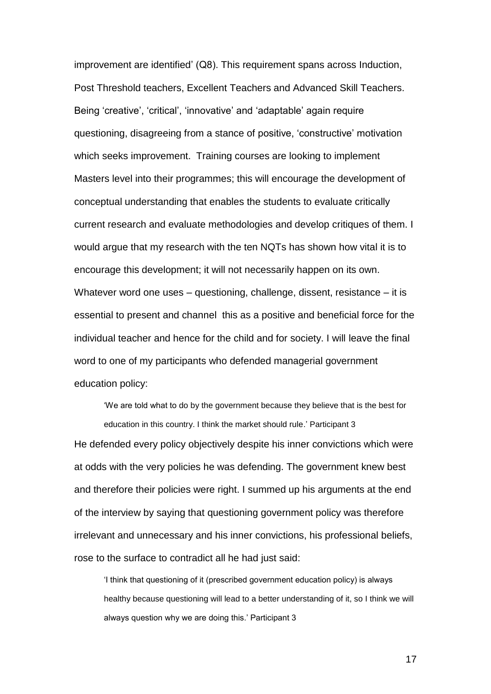improvement are identified' (Q8). This requirement spans across Induction, Post Threshold teachers, Excellent Teachers and Advanced Skill Teachers. Being 'creative', 'critical', 'innovative' and 'adaptable' again require questioning, disagreeing from a stance of positive, 'constructive' motivation which seeks improvement. Training courses are looking to implement Masters level into their programmes; this will encourage the development of conceptual understanding that enables the students to evaluate critically current research and evaluate methodologies and develop critiques of them. I would argue that my research with the ten NQTs has shown how vital it is to encourage this development; it will not necessarily happen on its own. Whatever word one uses – questioning, challenge, dissent, resistance – it is essential to present and channel this as a positive and beneficial force for the individual teacher and hence for the child and for society. I will leave the final word to one of my participants who defended managerial government education policy:

'We are told what to do by the government because they believe that is the best for education in this country. I think the market should rule.' Participant 3 He defended every policy objectively despite his inner convictions which were at odds with the very policies he was defending. The government knew best and therefore their policies were right. I summed up his arguments at the end of the interview by saying that questioning government policy was therefore irrelevant and unnecessary and his inner convictions, his professional beliefs, rose to the surface to contradict all he had just said:

'I think that questioning of it (prescribed government education policy) is always healthy because questioning will lead to a better understanding of it, so I think we will always question why we are doing this.' Participant 3